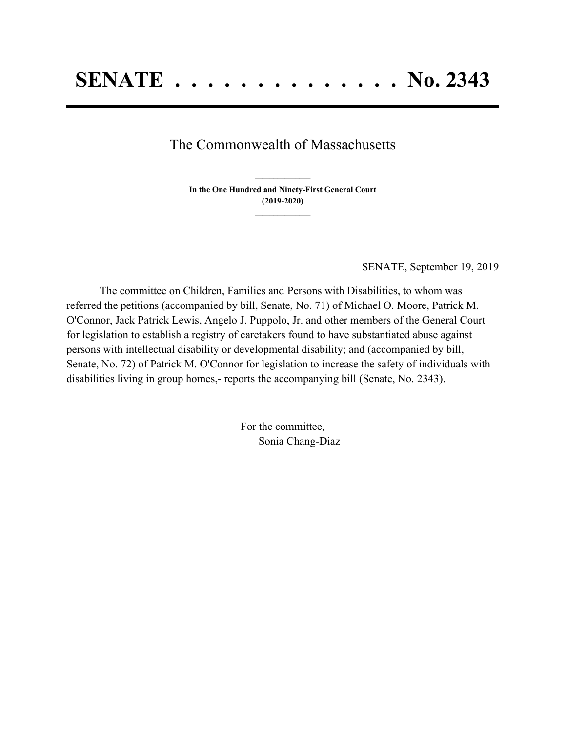## The Commonwealth of Massachusetts

**In the One Hundred and Ninety-First General Court (2019-2020) \_\_\_\_\_\_\_\_\_\_\_\_\_\_\_**

**\_\_\_\_\_\_\_\_\_\_\_\_\_\_\_**

SENATE, September 19, 2019

The committee on Children, Families and Persons with Disabilities, to whom was referred the petitions (accompanied by bill, Senate, No. 71) of Michael O. Moore, Patrick M. O'Connor, Jack Patrick Lewis, Angelo J. Puppolo, Jr. and other members of the General Court for legislation to establish a registry of caretakers found to have substantiated abuse against persons with intellectual disability or developmental disability; and (accompanied by bill, Senate, No. 72) of Patrick M. O'Connor for legislation to increase the safety of individuals with disabilities living in group homes,- reports the accompanying bill (Senate, No. 2343).

> For the committee, Sonia Chang-Diaz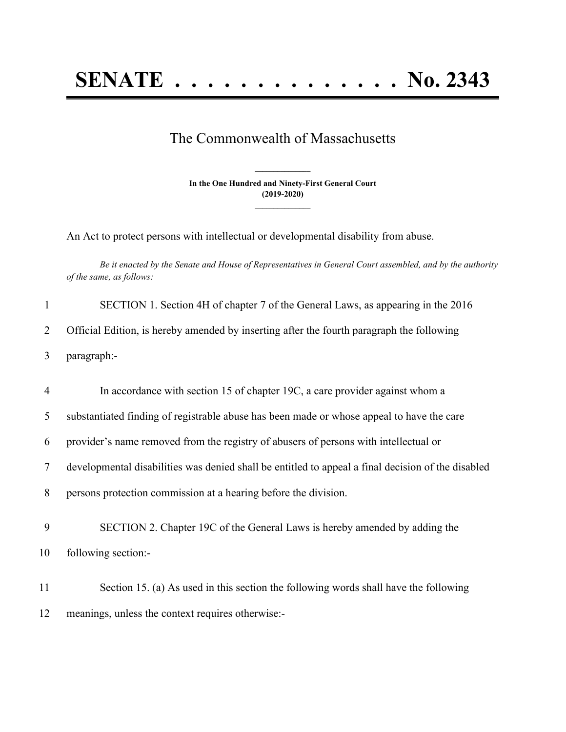## **SENATE . . . . . . . . . . . . . . No. 2343**

## The Commonwealth of Massachusetts

**In the One Hundred and Ninety-First General Court (2019-2020) \_\_\_\_\_\_\_\_\_\_\_\_\_\_\_**

**\_\_\_\_\_\_\_\_\_\_\_\_\_\_\_**

An Act to protect persons with intellectual or developmental disability from abuse.

Be it enacted by the Senate and House of Representatives in General Court assembled, and by the authority *of the same, as follows:*

| $\mathbf{1}$   | SECTION 1. Section 4H of chapter 7 of the General Laws, as appearing in the 2016                   |
|----------------|----------------------------------------------------------------------------------------------------|
| 2              | Official Edition, is hereby amended by inserting after the fourth paragraph the following          |
| 3              | paragraph:-                                                                                        |
| $\overline{4}$ | In accordance with section 15 of chapter 19C, a care provider against whom a                       |
| 5              | substantiated finding of registrable abuse has been made or whose appeal to have the care          |
| 6              | provider's name removed from the registry of abusers of persons with intellectual or               |
| 7              | developmental disabilities was denied shall be entitled to appeal a final decision of the disabled |
| 8              | persons protection commission at a hearing before the division.                                    |
| 9              | SECTION 2. Chapter 19C of the General Laws is hereby amended by adding the                         |
| 10             | following section:-                                                                                |
| 11             | Section 15. (a) As used in this section the following words shall have the following               |
| 12             | meanings, unless the context requires otherwise:-                                                  |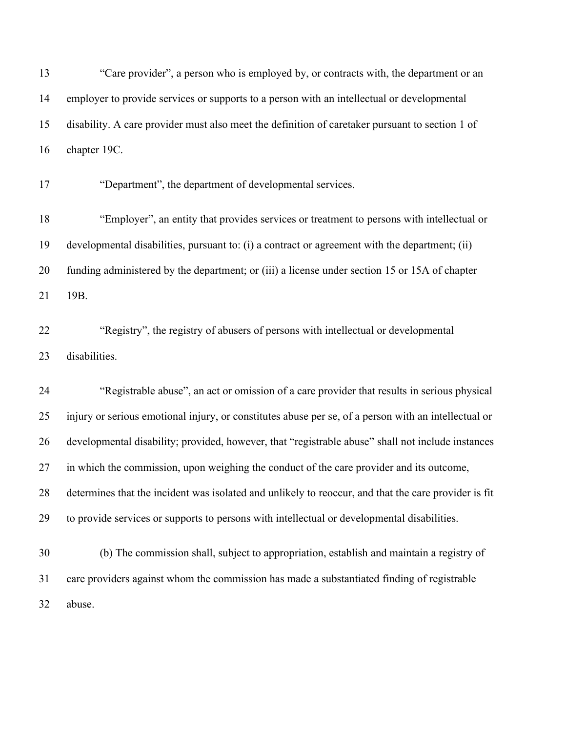"Care provider", a person who is employed by, or contracts with, the department or an employer to provide services or supports to a person with an intellectual or developmental disability. A care provider must also meet the definition of caretaker pursuant to section 1 of chapter 19C.

"Department", the department of developmental services.

 "Employer", an entity that provides services or treatment to persons with intellectual or developmental disabilities, pursuant to: (i) a contract or agreement with the department; (ii) funding administered by the department; or (iii) a license under section 15 or 15A of chapter 19B.

 "Registry", the registry of abusers of persons with intellectual or developmental disabilities.

 "Registrable abuse", an act or omission of a care provider that results in serious physical injury or serious emotional injury, or constitutes abuse per se, of a person with an intellectual or developmental disability; provided, however, that "registrable abuse" shall not include instances in which the commission, upon weighing the conduct of the care provider and its outcome, determines that the incident was isolated and unlikely to reoccur, and that the care provider is fit to provide services or supports to persons with intellectual or developmental disabilities.

 (b) The commission shall, subject to appropriation, establish and maintain a registry of care providers against whom the commission has made a substantiated finding of registrable abuse.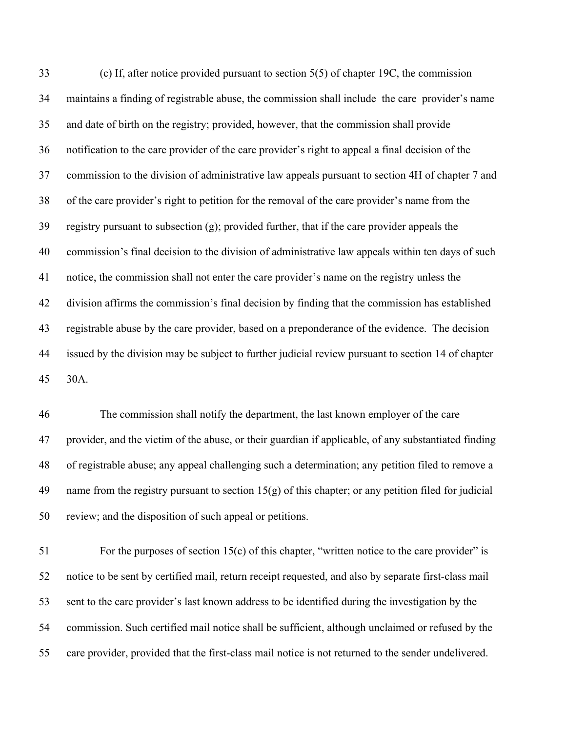(c) If, after notice provided pursuant to section 5(5) of chapter 19C, the commission maintains a finding of registrable abuse, the commission shall include the care provider's name and date of birth on the registry; provided, however, that the commission shall provide notification to the care provider of the care provider's right to appeal a final decision of the commission to the division of administrative law appeals pursuant to section 4H of chapter 7 and of the care provider's right to petition for the removal of the care provider's name from the registry pursuant to subsection (g); provided further, that if the care provider appeals the commission's final decision to the division of administrative law appeals within ten days of such notice, the commission shall not enter the care provider's name on the registry unless the division affirms the commission's final decision by finding that the commission has established registrable abuse by the care provider, based on a preponderance of the evidence. The decision issued by the division may be subject to further judicial review pursuant to section 14 of chapter 30A.

 The commission shall notify the department, the last known employer of the care provider, and the victim of the abuse, or their guardian if applicable, of any substantiated finding of registrable abuse; any appeal challenging such a determination; any petition filed to remove a name from the registry pursuant to section 15(g) of this chapter; or any petition filed for judicial review; and the disposition of such appeal or petitions.

 For the purposes of section 15(c) of this chapter, "written notice to the care provider" is notice to be sent by certified mail, return receipt requested, and also by separate first-class mail sent to the care provider's last known address to be identified during the investigation by the commission. Such certified mail notice shall be sufficient, although unclaimed or refused by the care provider, provided that the first-class mail notice is not returned to the sender undelivered.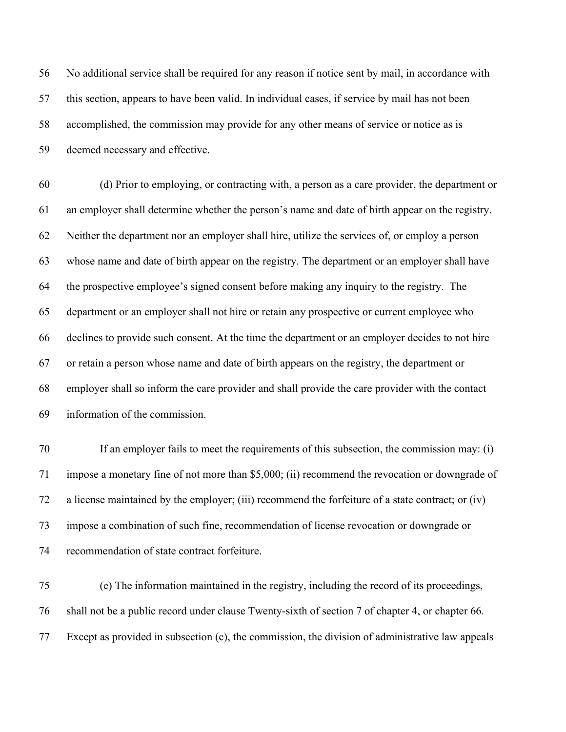No additional service shall be required for any reason if notice sent by mail, in accordance with this section, appears to have been valid. In individual cases, if service by mail has not been accomplished, the commission may provide for any other means of service or notice as is deemed necessary and effective.

 (d) Prior to employing, or contracting with, a person as a care provider, the department or an employer shall determine whether the person's name and date of birth appear on the registry. Neither the department nor an employer shall hire, utilize the services of, or employ a person whose name and date of birth appear on the registry. The department or an employer shall have the prospective employee's signed consent before making any inquiry to the registry. The department or an employer shall not hire or retain any prospective or current employee who declines to provide such consent. At the time the department or an employer decides to not hire or retain a person whose name and date of birth appears on the registry, the department or employer shall so inform the care provider and shall provide the care provider with the contact information of the commission.

 If an employer fails to meet the requirements of this subsection, the commission may: (i) impose a monetary fine of not more than \$5,000; (ii) recommend the revocation or downgrade of a license maintained by the employer; (iii) recommend the forfeiture of a state contract; or (iv) impose a combination of such fine, recommendation of license revocation or downgrade or recommendation of state contract forfeiture.

 (e) The information maintained in the registry, including the record of its proceedings, shall not be a public record under clause Twenty-sixth of section 7 of chapter 4, or chapter 66. Except as provided in subsection (c), the commission, the division of administrative law appeals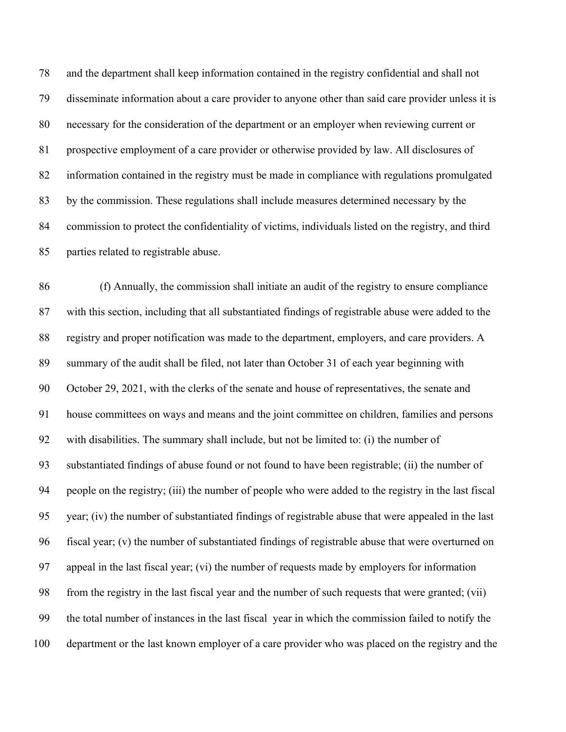and the department shall keep information contained in the registry confidential and shall not disseminate information about a care provider to anyone other than said care provider unless it is necessary for the consideration of the department or an employer when reviewing current or prospective employment of a care provider or otherwise provided by law. All disclosures of information contained in the registry must be made in compliance with regulations promulgated by the commission. These regulations shall include measures determined necessary by the commission to protect the confidentiality of victims, individuals listed on the registry, and third parties related to registrable abuse.

 (f) Annually, the commission shall initiate an audit of the registry to ensure compliance with this section, including that all substantiated findings of registrable abuse were added to the registry and proper notification was made to the department, employers, and care providers. A summary of the audit shall be filed, not later than October 31 of each year beginning with October 29, 2021, with the clerks of the senate and house of representatives, the senate and house committees on ways and means and the joint committee on children, families and persons with disabilities. The summary shall include, but not be limited to: (i) the number of substantiated findings of abuse found or not found to have been registrable; (ii) the number of people on the registry; (iii) the number of people who were added to the registry in the last fiscal year; (iv) the number of substantiated findings of registrable abuse that were appealed in the last fiscal year; (v) the number of substantiated findings of registrable abuse that were overturned on appeal in the last fiscal year; (vi) the number of requests made by employers for information from the registry in the last fiscal year and the number of such requests that were granted; (vii) the total number of instances in the last fiscal year in which the commission failed to notify the department or the last known employer of a care provider who was placed on the registry and the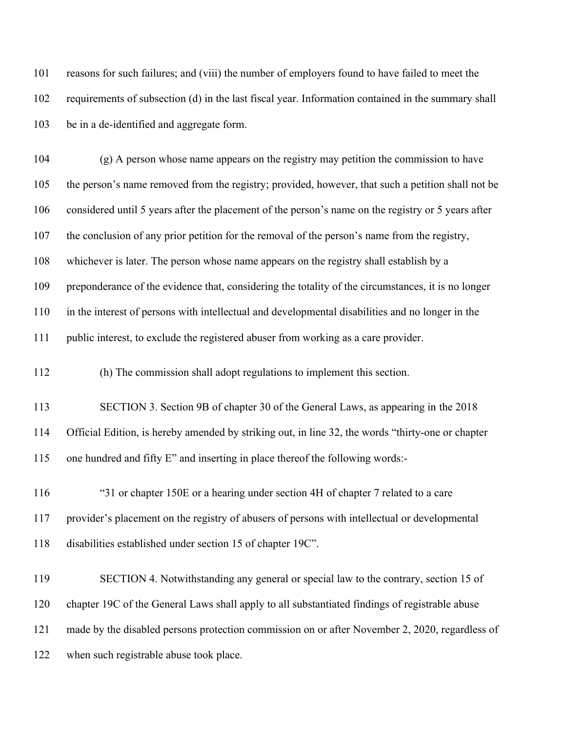reasons for such failures; and (viii) the number of employers found to have failed to meet the requirements of subsection (d) in the last fiscal year. Information contained in the summary shall be in a de-identified and aggregate form.

 (g) A person whose name appears on the registry may petition the commission to have the person's name removed from the registry; provided, however, that such a petition shall not be considered until 5 years after the placement of the person's name on the registry or 5 years after the conclusion of any prior petition for the removal of the person's name from the registry, whichever is later. The person whose name appears on the registry shall establish by a preponderance of the evidence that, considering the totality of the circumstances, it is no longer in the interest of persons with intellectual and developmental disabilities and no longer in the public interest, to exclude the registered abuser from working as a care provider.

(h) The commission shall adopt regulations to implement this section.

 SECTION 3. Section 9B of chapter 30 of the General Laws, as appearing in the 2018 Official Edition, is hereby amended by striking out, in line 32, the words "thirty-one or chapter one hundred and fifty E" and inserting in place thereof the following words:-

 "31 or chapter 150E or a hearing under section 4H of chapter 7 related to a care provider's placement on the registry of abusers of persons with intellectual or developmental disabilities established under section 15 of chapter 19C".

 SECTION 4. Notwithstanding any general or special law to the contrary, section 15 of chapter 19C of the General Laws shall apply to all substantiated findings of registrable abuse made by the disabled persons protection commission on or after November 2, 2020, regardless of 122 when such registrable abuse took place.